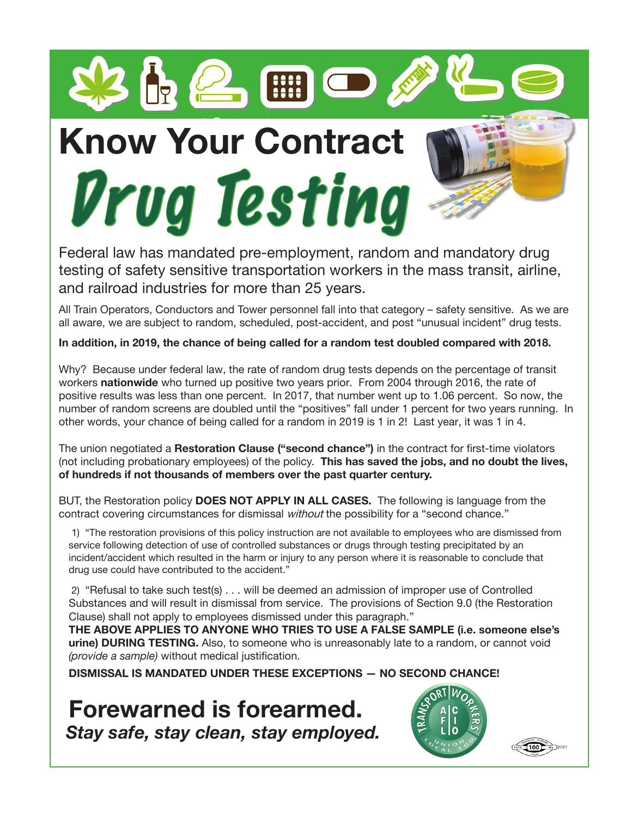

 $3\,$   $\odot$   $\odot$ 



Federal law has mandated pre-employment, random and mandatory drug testing of safety sensitive transportation workers in the mass transit, airline, and railroad industries for more than 25 years.

All Train Operators, Conductors and Tower personnel fall into that category – safety sensitive. As we are all aware, we are subject to random, scheduled, post-accident, and post "unusual incident" drug tests.

**In addition, in 2019, the chance of being called for a random test doubled compared with 2018.** 

Why? Because under federal law, the rate of random drug tests depends on the percentage of transit workers **nationwide** who turned up positive two years prior. From 2004 through 2016, the rate of positive results was less than one percent. In 2017, that number went up to 1.06 percent. So now, the number of random screens are doubled until the "positives" fall under 1 percent for two years running. In other words, your chance of being called for a random in 2019 is 1 in 2! Last year, it was 1 in 4.

The union negotiated a **Restoration Clause ("second chance")** in the contract for first-time violators (not including probationary employees) of the policy. **This has saved the jobs, and no doubt the lives, of hundreds if not thousands of members over the past quarter century.**

BUT, the Restoration policy **DOES NOT APPLY IN ALL CASES.** The following is language from the contract covering circumstances for dismissal *without* the possibility for a "second chance."

1) "The restoration provisions of this policy instruction are not available to employees who are dismissed from service following detection of use of controlled substances or drugs through testing precipitated by an incident/accident which resulted in the harm or injury to any person where it is reasonable to conclude that drug use could have contributed to the accident."

2) "Refusal to take such test(s) . . . will be deemed an admission of improper use of Controlled Substances and will result in dismissal from service. The provisions of Section 9.0 (the Restoration Clause) shall not apply to employees dismissed under this paragraph."

**THE ABOVE APPLIES TO ANYONE WHO TRIES TO USE A FALSE SAMPLE (i.e. someone else's urine) DURING TESTING.** Also, to someone who is unreasonably late to a random, or cannot void *(provide a sample)* without medical justification.

**DISMISSAL IS MANDATED UNDER THESE EXCEPTIONS — NO SECOND CHANCE!**

**Forewarned is forearmed.**  *Stay safe, stay clean, stay employed.*